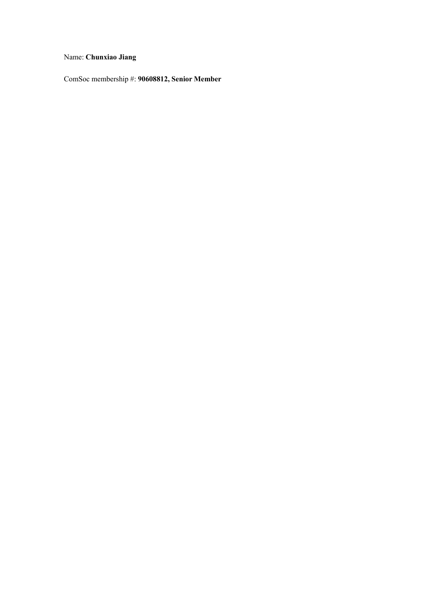### Name: Chunxiao Jiang

ComSoc membership #: 90608812, Senior Member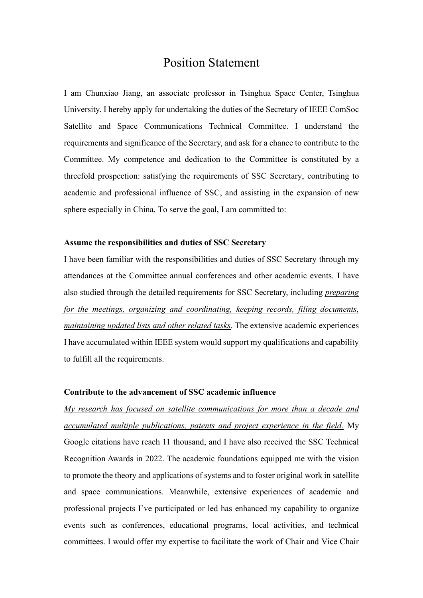### **Position Statement**

I am Chunxiao Jiang, an associate professor in Tsinghua Space Center, Tsinghua University. I hereby apply for undertaking the duties of the Secretary of IEEE ComSoc Satellite and Space Communications Technical Committee. I understand the requirements and significance of the Secretary, and ask for a chance to contribute to the Committee. My competence and dedication to the Committee is constituted by a threefold prospection: satisfying the requirements of SSC Secretary, contributing to academic and professional influence of SSC, and assisting in the expansion of new sphere especially in China. To serve the goal, I am committed to:

#### Assume the responsibilities and duties of SSC Secretary

I have been familiar with the responsibilities and duties of SSC Secretary through my attendances at the Committee annual conferences and other academic events. I have also studied through the detailed requirements for SSC Secretary, including *preparing for the meetings, organizing and coordinating, keeping records, filing documents, Phaintaining updated lists and other related tasks.* The extensive academic experiences I have accumulated within IEEE system would support my qualifications and capability to fulfill all the requirements.

#### Contribute to the advancement of SSC academic influence

*My research has focused on satellite communications for more than a decade and accumulated multiple publications, patents and project experience in the field.* My Google citations have reach 11 thousand, and I have also received the SSC Technical Recognition Awards in 2022. The academic foundations equipped me with the vision to promote the theory and applications of systems and to foster original work in satellite and space communications. Meanwhile, extensive experiences of academic and professional projects I've participated or led has enhanced my capability to organize events such as conferences, educational programs, local activities, and technical committees. I would offer my expertise to facilitate the work of Chair and Vice Chair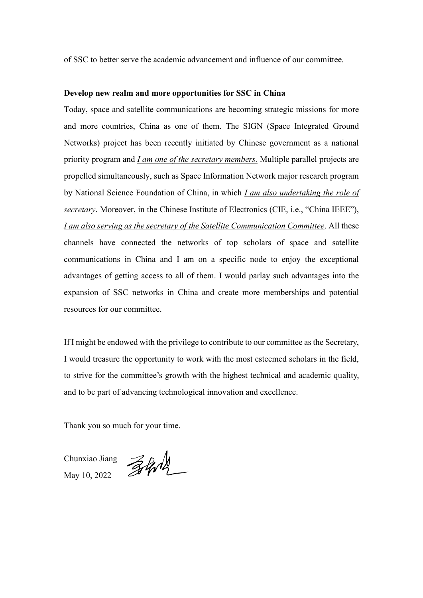of SSC to better serve the academic advancement and influence of our committee.

#### **Develop new realm and more opportunities for SSC in China**

Today, space and satellite communications are becoming strategic missions for more and more countries, China as one of them. The SIGN (Space Integrated Ground Networks) project has been recently initiated by Chinese government as a national priority program and *I am one of the secretary members.* Multiple parallel projects are propelled simultaneously, such as Space Information Network major research program by National Science Foundation of China, in which *I am also undertaking the role of secretary*. Moreover, in the Chinese Institute of Electronics (CIE, i.e., "China IEEE"), *I am also serving as the secretary of the Satellite Communication Committee*. All these channels have connected the networks of top scholars of space and satellite communications in China and I am on a specific node to enjoy the exceptional advantages of getting access to all of them. I would parlay such advantages into the expansion of SSC networks in China and create more memberships and potential resources for our committee.

If I might be endowed with the privilege to contribute to our committee as the Secretary, I would treasure the opportunity to work with the most esteemed scholars in the field, to strive for the committee's growth with the highest technical and academic quality, and to be part of advancing technological innovation and excellence.

Thank you so much for your time.

Chunxiao Jiang May 10, 2022

Zhold \_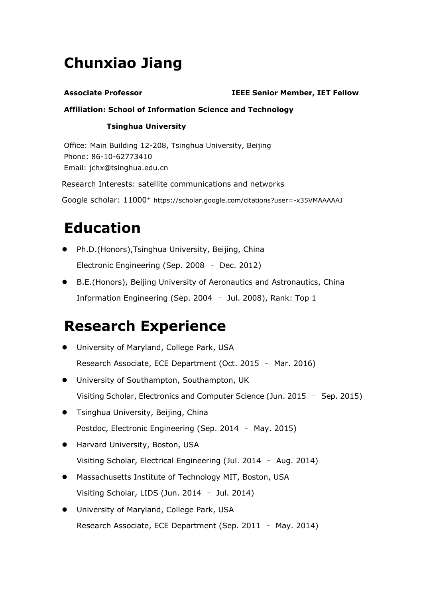# **Chunxiao Jiang**

### **Associate Professor IEEE Senior Member, IET Fellow**

### **Affiliation: School of Information Science and Technology**

### **Tsinghua University**

Office: Main Building 12-208, Tsinghua University, Beijing Phone: 86-10-62773410 Email: jchx@tsinghua.edu.cn

Research Interests: satellite communications and networks

Google scholar: 11000+ <https://scholar.google.com/citations?user=-x35VMAAAAAJ>

# **Education**

- Ph.D.(Honors), Tsinghua University, Beijing, China Electronic Engineering (Sep. 2008 - Dec. 2012)
- B.E.(Honors), Beijing University of Aeronautics and Astronautics, China Information Engineering (Sep. 2004 - Jul. 2008), Rank: Top 1

## **Research Experience**

- **•** University of Maryland, College Park, USA Research Associate, ECE Department (Oct. 2015 - Mar. 2016)
- **•** University of Southampton, Southampton, UK Visiting Scholar, Electronics and Computer Science (Jun. 2015 - Sep. 2015)
- **•** Tsinghua University, Beijing, China Postdoc, Electronic Engineering (Sep. 2014 - May. 2015)
- **•** Harvard University, Boston, USA Visiting Scholar, Electrical Engineering (Jul. 2014 - Aug. 2014)
- Massachusetts Institute of Technology MIT, Boston, USA Visiting Scholar, LIDS (Jun. 2014 - Jul. 2014)
- University of Maryland, College Park, USA Research Associate, ECE Department (Sep. 2011 - May. 2014)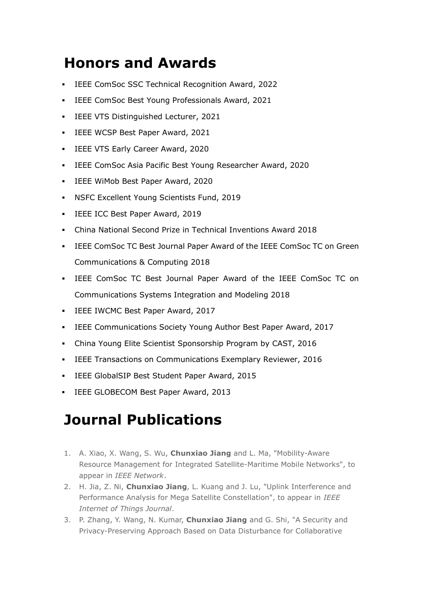# **Honors and Awards**

- **EXEGE ComSoc SSC Technical Recognition Award, 2022**
- **EEE ComSoc Best Young Professionals Award, 2021**
- **IEEE VTS Distinguished Lecturer, 2021**
- **IEEE WCSP Best Paper Award, 2021**
- **IEEE VTS Early Career Award, 2020**
- IEEE ComSoc Asia Pacific Best Young Researcher Award, 2020
- IEEE WiMob Best Paper Award, 2020
- **NSFC Excellent Young Scientists Fund, 2019**
- **IEEE ICC Best Paper Award, 2019**
- China National Second Prize in Technical Inventions Award 2018
- IEEE ComSoc TC Best Journal Paper Award of the IEEE ComSoc TC on Green Communications & Computing 2018
- IEEE ComSoc TC Best Journal Paper Award of the IEEE ComSoc TC on Communications Systems Integration and Modeling 2018
- **EXECTE IWCMC Best Paper Award, 2017**
- IEEE Communications Society Young Author Best Paper Award, 2017
- China Young Elite Scientist Sponsorship Program by CAST, 2016
- **EEE Transactions on Communications Exemplary Reviewer, 2016**
- IEEE GlobalSIP Best Student Paper Award, 2015
- **IEEE GLOBECOM Best Paper Award, 2013**

# **Journal Publications**

- 1. A. Xiao, X. Wang, S. Wu, **Chunxiao Jiang** and L. Ma, "Mobility-Aware Resource Management for Integrated Satellite-Maritime Mobile Networks", to appear in IEEE Network.
- 2. H. Jia, Z. Ni, **Chunxiao Jiang**, L. Kuang and J. Lu, "Uplink Interference and Performance Analysis for Mega Satellite Constellation", to appear in IEEE *Internet of Things Journal.*
- 3. P. Zhang, Y. Wang, N. Kumar, **Chunxiao Jiang** and G. Shi, "A Security and Privacy-Preserving Approach Based on Data Disturbance for Collaborative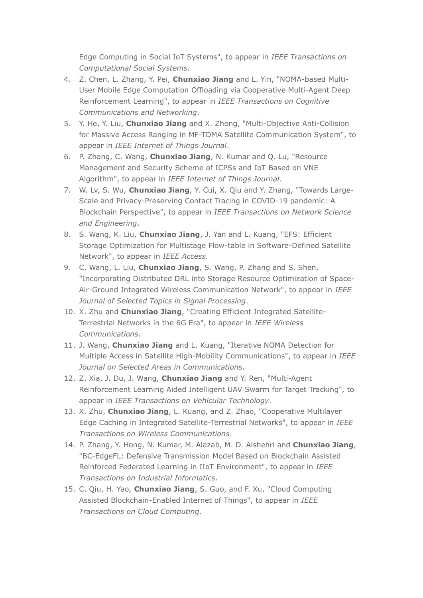Edge Computing in Social IoT Systems", to appear in IEEE Transactions on Computational Social Systems.

- 4. Z. Chen, L. Zhang, Y. Pei, Chunxiao Jiang and L. Yin, "NOMA-based Multi-User Mobile Edge Computation Offloading via Cooperative Multi-Agent Deep Reinforcement Learning", to appear in IEEE Transactions on Cognitive Communications and Networking.
- 5. Y. He, Y. Liu, Chunxiao Jiang and X. Zhong, "Multi-Objective Anti-Collision for Massive Access Ranging in MF-TDMA Satellite Communication System", to appear in IEEE Internet of Things Journal.
- 6. P. Zhang, C. Wang, Chunxiao Jiang, N. Kumar and Q. Lu, "Resource Management and Security Scheme of ICPSs and IoT Based on VNE Algorithm", to appear in IEEE Internet of Things Journal.
- 7. W. Lv, S. Wu, Chunxiao Jiang, Y. Cui, X. Qiu and Y. Zhang, "Towards Large-Scale and Privacy-Preserving Contact Tracing in COVID-19 pandemic: A Blockchain Perspective", to appear in IEEE Transactions on Network Science and Engineering.
- 8. S. Wang, K. Liu, Chunxiao Jiang, J. Yan and L. Kuang, "EFS: Efficient Storage Optimization for Multistage Flow-table in Software-Defined Satellite Network", to appear in IEEE Access.
- 9. C. Wang, L. Liu, Chunxiao Jiang, S. Wang, P. Zhang and S. Shen, "Incorporating Distributed DRL into Storage Resource Optimization of Space-Air-Ground Integrated Wireless Communication Network", to appear in IEEE Journal of Selected Topics in Signal Processing.
- 10. X. Zhu and Chunxiao Jiang, "Creating Efficient Integrated Satellite-Terrestrial Networks in the 6G Era", to appear in IEEE Wireless Communications.
- 11. J. Wang, Chunxiao Jiang and L. Kuang, "Iterative NOMA Detection for Multiple Access in Satellite High-Mobility Communications", to appear in IEEE Journal on Selected Areas in Communications.
- 12. Z. Xia, J. Du, J. Wang, Chunxiao Jiang and Y. Ren, "Multi-Agent Reinforcement Learning Aided Intelligent UAV Swarm for Target Tracking", to appear in IEEE Transactions on Vehicular Technology.
- 13. X. Zhu, Chunxiao Jiang, L. Kuang, and Z. Zhao, "Cooperative Multilayer Edge Caching in Integrated Satellite-Terrestrial Networks", to appear in IEEE Transactions on Wireless Communications.
- 14. P. Zhang, Y. Hong, N. Kumar, M. Alazab, M. D. Alshehri and Chunxiao Jiang, "BC-EdgeFL: Defensive Transmission Model Based on Blockchain Assisted Reinforced Federated Learning in IIoT Environment", to appear in IEEE Transactions on Industrial Informatics.
- 15. C. Qiu, H. Yao, Chunxiao Jiang, S. Guo, and F. Xu, "Cloud Computing Assisted Blockchain-Enabled Internet of Things", to appear in IEEE Transactions on Cloud Computing.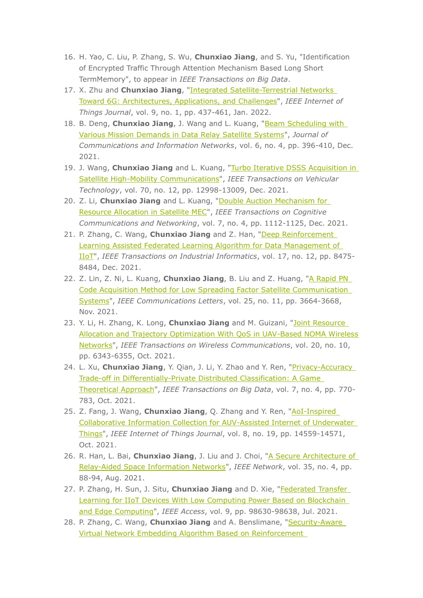- 16. H. Yao, C. Liu, P. Zhang, S. Wu, Chunxiao Jiang, and S. Yu, "Identification of Encrypted Traffic Through Attention Mechanism Based Long Short TermMemory", to appear in IEEE Transactions on Big Data.
- 17. X. Zhu and Chunxiao Jiang, "Integrated Satellite-Terrestrial Networks Toward 6G: Architectures, Applications, and Challenges", IEEE Internet of Things Journal, vol. 9, no. 1, pp. 437-461, Jan. 2022.
- 18. B. Deng, Chunxiao Jiang, J. Wang and L. Kuang, "Beam Scheduling with Various Mission Demands in Data Relay Satellite Systems", Journal of Communications and Information Networks, vol. 6, no. 4, pp. 396-410, Dec. 2021.
- 19. J. Wang, Chunxiao Jiang and L. Kuang, "Turbo Iterative DSSS Acquisition in Satellite High-Mobility Communications", IEEE Transactions on Vehicular Technology, vol. 70, no. 12, pp. 12998-13009, Dec. 2021.
- 20. Z. Li, Chunxiao Jiang and L. Kuang, "Double Auction Mechanism for Resource Allocation in Satellite MEC", IEEE Transactions on Cognitive Communications and Networking, vol. 7, no. 4, pp. 1112-1125, Dec. 2021.
- 21. P. Zhang, C. Wang, Chunxiao Jiang and Z. Han, "Deep Reinforcement Learning Assisted Federated Learning Algorithm for Data Management of IIoT", IEEE Transactions on Industrial Informatics, vol. 17, no. 12, pp. 8475-8484, Dec. 2021.
- 22. Z. Lin, Z. Ni, L. Kuang, Chunxiao Jiang, B. Liu and Z. Huang, "A Rapid PN Code Acquisition Method for Low Spreading Factor Satellite Communication Systems", IEEE Communications Letters, vol. 25, no. 11, pp. 3664-3668, Nov. 2021.
- 23. Y. Li, H. Zhang, K. Long, Chunxiao Jiang and M. Guizani, "Joint Resource Allocation and Trajectory Optimization With QoS in UAV-Based NOMA Wireless Networks", IEEE Transactions on Wireless Communications, vol. 20, no. 10, pp. 6343-6355, Oct. 2021.
- 24. L. Xu, Chunxiao Jiang, Y. Qian, J. Li, Y. Zhao and Y. Ren, "Privacy-Accuracy Trade-off in Differentially-Private Distributed Classification: A Game Theoretical Approach", IEEE Transactions on Big Data, vol. 7, no. 4, pp. 770-783, Oct. 2021.
- 25. Z. Fang, J. Wang, Chunxiao Jiang, Q. Zhang and Y. Ren, "AoI-Inspired Collaborative Information Collection for AUV-Assisted Internet of Underwater Things", IEEE Internet of Things Journal, vol. 8, no. 19, pp. 14559-14571, Oct. 2021.
- 26. R. Han, L. Bai, Chunxiao Jiang, J. Liu and J. Choi, "A Secure Architecture of Relay-Aided Space Information Networks", IEEE Network, vol. 35, no. 4, pp. 88-94, Aug. 2021.
- 27. P. Zhang, H. Sun, J. Situ, Chunxiao Jiang and D. Xie, "Federated Transfer Learning for IIoT Devices With Low Computing Power Based on Blockchain and Edge Computing", IEEE Access, vol. 9, pp. 98630-98638, Jul. 2021.
- 28. P. Zhang, C. Wang, Chunxiao Jiang and A. Benslimane, "Security-Aware Virtual Network Embedding Algorithm Based on Reinforcement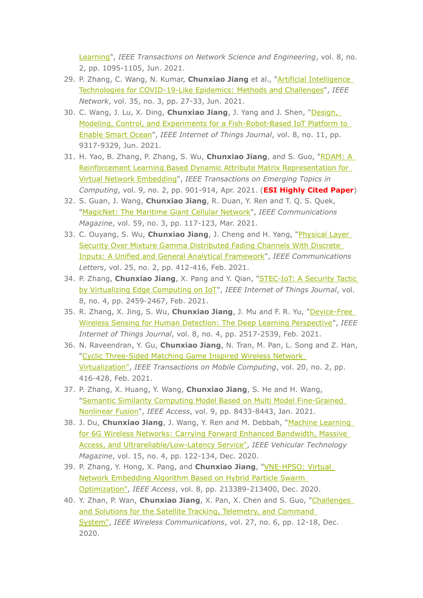Learning", IEEE Transactions on Network Science and Engineering, vol. 8, no. 2, pp. 1095-1105, Jun. 2021.

- 29. P. Zhang, C. Wang, N. Kumar, Chunxiao Jiang et al., "Artificial Intelligence Technologies for COVID-19-Like Epidemics: Methods and Challenges", IEEE Network, vol. 35, no. 3, pp. 27-33, Jun. 2021.
- 30. C. Wang, J. Lu, X. Ding, Chunxiao Jiang, J. Yang and J. Shen, "Design, Modeling, Control, and Experiments for a Fish-Robot-Based IoT Platform to Enable Smart Ocean", IEEE Internet of Things Journal, vol. 8, no. 11, pp. 9317-9329, Jun. 2021.
- 31. H. Yao, B. Zhang, P. Zhang, S. Wu, Chunxiao Jiang, and S. Guo, "RDAM: A Reinforcement Learning Based Dynamic Attribute Matrix Representation for Virtual Network Embedding", IEEE Transactions on Emerging Topics in Computing, vol. 9, no. 2, pp. 901-914, Apr. 2021. (ESI Highly Cited Paper)
- 32. S. Guan, J. Wang, Chunxiao Jiang, R. Duan, Y. Ren and T. Q. S. Quek, "MagicNet: The Maritime Giant Cellular Network", IEEE Communications Magazine, vol. 59, no. 3, pp. 117-123, Mar. 2021.
- 33. C. Ouyang, S. Wu, Chunxiao Jiang, J. Cheng and H. Yang, "Physical Layer Security Over Mixture Gamma Distributed Fading Channels With Discrete **Inputs: A Unified and General Analytical Framework", IEEE Communications** Letters, vol. 25, no. 2, pp. 412-416, Feb. 2021.
- 34. P. Zhang, Chunxiao Jiang, X. Pang and Y. Qian, "STEC-IoT: A Security Tactic by Virtualizing Edge Computing on IoT", IEEE Internet of Things Journal, vol. 8, no. 4, pp. 2459-2467, Feb. 2021.
- 35. R. Zhang, X. Jing, S. Wu, Chunxiao Jiang, J. Mu and F. R. Yu, "Device-Free Wireless Sensing for Human Detection: The Deep Learning Perspective", IEEE Internet of Things Journal, vol. 8, no. 4, pp. 2517-2539, Feb. 2021.
- 36. N. Raveendran, Y. Gu, Chunxiao Jiang, N. Tran, M. Pan, L. Song and Z. Han, "Cyclic Three-Sided Matching Game Inspired Wireless Network Virtualization", IEEE Transactions on Mobile Computing, vol. 20, no. 2, pp. 416-428, Feb. 2021.
- 37. P. Zhang, X. Huang, Y. Wang, Chunxiao Jiang, S. He and H. Wang, "Semantic Similarity Computing Model Based on Multi Model Fine-Grained Nonlinear Fusion", IEEE Access, vol. 9, pp. 8433-8443, Jan. 2021.
- 38. J. Du, Chunxiao Jiang, J. Wang, Y. Ren and M. Debbah, "Machine Learning for 6G Wireless Networks: Carrying Forward Enhanced Bandwidth, Massive Access, and Ultrareliable/Low-Latency Service", IEEE Vehicular Technology Magazine, vol. 15, no. 4, pp. 122-134, Dec. 2020.
- 39. P. Zhang, Y. Hong, X. Pang, and Chunxiao Jiang, "VNE-HPSO: Virtual Network Embedding Algorithm Based on Hybrid Particle Swarm Optimization", IEEE Access, vol. 8, pp. 213389-213400, Dec. 2020.
- 40. Y. Zhan, P. Wan, Chunxiao Jiang, X. Pan, X. Chen and S. Guo, "Challenges and Solutions for the Satellite Tracking, Telemetry, and Command System", IEEE Wireless Communications, vol. 27, no. 6, pp. 12-18, Dec. 2020.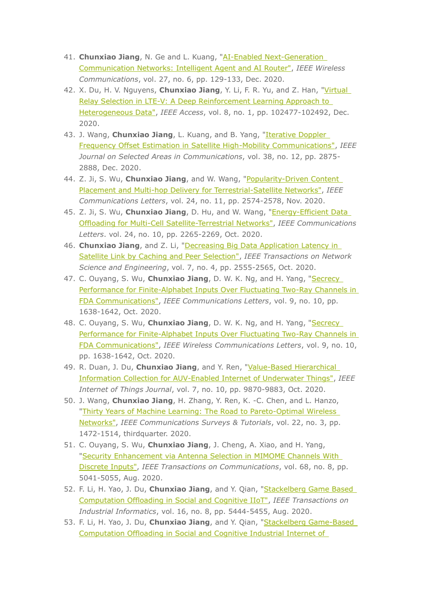- 41. Chunxiao Jiang, N. Ge and L. Kuang, "AI-Enabled Next-Generation Communication Networks: Intelligent Agent and AI Router", IEEE Wireless Communications, vol. 27, no. 6, pp. 129-133, Dec. 2020.
- 42. X. Du, H. V. Nguyens, Chunxiao Jiang, Y. Li, F. R. Yu, and Z. Han, "Virtual Relay Selection in LTE-V: A Deep Reinforcement Learning Approach to Heterogeneous Data", IEEE Access, vol. 8, no. 1, pp. 102477-102492, Dec. 2020.
- 43. J. Wang, Chunxiao Jiang, L. Kuang, and B. Yang, "Iterative Doppler Frequency Offset Estimation in Satellite High-Mobility Communications", IEEE Journal on Selected Areas in Communications, vol. 38, no. 12, pp. 2875-2888, Dec. 2020.
- 44. Z. Ji, S. Wu, Chunxiao Jiang, and W. Wang, "Popularity-Driven Content Placement and Multi-hop Delivery for Terrestrial-Satellite Networks", IEEE Communications Letters, vol. 24, no. 11, pp. 2574-2578, Nov. 2020.
- 45. Z. Ji, S. Wu, Chunxiao Jiang, D. Hu, and W. Wang, "Energy-Efficient Data Offloading for Multi-Cell Satellite-Terrestrial Networks", IEEE Communications Letters. vol. 24, no. 10, pp. 2265-2269, Oct. 2020.
- 46. Chunxiao Jiang, and Z. Li, "Decreasing Big Data Application Latency in Satellite Link by Caching and Peer Selection", IEEE Transactions on Network Science and Engineering, vol. 7, no. 4, pp. 2555-2565, Oct. 2020.
- 47. C. Ouyang, S. Wu, Chunxiao Jiang, D. W. K. Ng, and H. Yang, "Secrecy Performance for Finite-Alphabet Inputs Over Fluctuating Two-Ray Channels in FDA Communications", IEEE Communications Letters, vol. 9, no. 10, pp. 1638-1642, Oct. 2020.
- 48. C. Ouvang, S. Wu, Chunxiao Jiang, D. W. K. Ng, and H. Yang, "Secrecy Performance for Finite-Alphabet Inputs Over Fluctuating Two-Ray Channels in FDA Communications", IEEE Wireless Communications Letters, vol. 9, no. 10, pp. 1638-1642, Oct. 2020.
- 49. R. Duan, J. Du, Chunxiao Jiang, and Y. Ren, "Value-Based Hierarchical Information Collection for AUV-Enabled Internet of Underwater Things", IEEE Internet of Things Journal, vol. 7, no. 10, pp. 9870-9883, Oct. 2020.
- 50. J. Wang, Chunxiao Jiang, H. Zhang, Y. Ren, K. -C. Chen, and L. Hanzo, "Thirty Years of Machine Learning: The Road to Pareto-Optimal Wireless Networks", IEEE Communications Surveys & Tutorials, vol. 22, no. 3, pp. 1472-1514, thirdquarter. 2020.
- 51. C. Ouyang, S. Wu, Chunxiao Jiang, J. Cheng, A. Xiao, and H. Yang, "Security Enhancement via Antenna Selection in MIMOME Channels With Discrete Inputs", IEEE Transactions on Communications, vol. 68, no. 8, pp. 5041-5055, Aug. 2020.
- 52. F. Li, H. Yao, J. Du, Chunxiao Jiang, and Y. Qian, "Stackelberg Game Based Computation Offloading in Social and Cognitive IIoT", IEEE Transactions on Industrial Informatics, vol. 16, no. 8, pp. 5444-5455, Aug. 2020.
- 53. F. Li, H. Yao, J. Du, Chunxiao Jiang, and Y. Qian, "Stackelberg Game-Based Computation Offloading in Social and Cognitive Industrial Internet of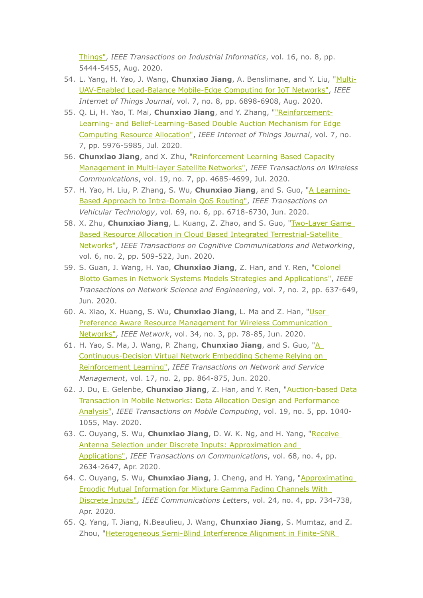Things", IEEE Transactions on Industrial Informatics, vol. 16, no. 8, pp. 5444-5455, Aug. 2020.

- 54. L. Yang, H. Yao, J. Wang, Chunxiao Jiang, A. Benslimane, and Y. Liu, "Multi-UAV-Enabled Load-Balance Mobile-Edge Computing for IoT Networks", IEEE Internet of Things Journal, vol. 7, no. 8, pp. 6898-6908, Aug. 2020.
- 55. Q. Li, H. Yao, T. Mai, Chunxiao Jiang, and Y. Zhang, ""Reinforcement-Learning- and Belief-Learning-Based Double Auction Mechanism for Edge Computing Resource Allocation", IEEE Internet of Things Journal, vol. 7, no. 7, pp. 5976-5985, Jul. 2020.
- 56. Chunxiao Jiang, and X. Zhu, "Reinforcement Learning Based Capacity Management in Multi-layer Satellite Networks", IEEE Transactions on Wireless Communications, vol. 19, no. 7, pp. 4685-4699, Jul. 2020.
- 57. H. Yao, H. Liu, P. Zhang, S. Wu, Chunxiao Jiang, and S. Guo, "A Learning-Based Approach to Intra-Domain OoS Routing", IEEE Transactions on Vehicular Technology, vol. 69, no. 6, pp. 6718-6730, Jun. 2020.
- 58. X. Zhu, Chunxiao Jiang, L. Kuang, Z. Zhao, and S. Guo, "Two-Layer Game Based Resource Allocation in Cloud Based Integrated Terrestrial-Satellite Networks", IEEE Transactions on Cognitive Communications and Networking, vol. 6, no. 2, pp. 509-522, Jun. 2020.
- 59. S. Guan, J. Wang, H. Yao, Chunxiao Jiang, Z. Han, and Y. Ren, "Colonel Blotto Games in Network Systems Models Strategies and Applications", IEEE Transactions on Network Science and Engineering, vol. 7, no. 2, pp. 637-649, Jun. 2020.
- 60. A. Xiao, X. Huang, S. Wu, Chunxiao Jiang, L. Ma and Z. Han, "User Preference Aware Resource Management for Wireless Communication Networks", IEEE Network, vol. 34, no. 3, pp. 78-85, Jun. 2020.
- 61. H. Yao, S. Ma, J. Wang, P. Zhang, Chunxiao Jiang, and S. Guo, "A Continuous-Decision Virtual Network Embedding Scheme Relying on Reinforcement Learning", IEEE Transactions on Network and Service Management, vol. 17, no. 2, pp. 864-875, Jun. 2020.
- 62. J. Du, E. Gelenbe, Chunxiao Jiang, Z. Han, and Y. Ren, "Auction-based Data Transaction in Mobile Networks: Data Allocation Design and Performance Analysis", IEEE Transactions on Mobile Computing, vol. 19, no. 5, pp. 1040-1055, May. 2020.
- 63. C. Ouyang, S. Wu, Chunxiao Jiang, D. W. K. Ng, and H. Yang, "Receive Antenna Selection under Discrete Inputs: Approximation and Applications", IEEE Transactions on Communications, vol. 68, no. 4, pp. 2634-2647, Apr. 2020.
- 64. C. Ouyang, S. Wu, Chunxiao Jiang, J. Cheng, and H. Yang, "Approximating **Ergodic Mutual Information for Mixture Gamma Fading Channels With** Discrete Inputs", IEEE Communications Letters, vol. 24, no. 4, pp. 734-738, Apr. 2020.
- 65. Q. Yang, T. Jiang, N. Beaulieu, J. Wang, Chunxiao Jiang, S. Mumtaz, and Z. Zhou, "Heterogeneous Semi-Blind Interference Alignment in Finite-SNR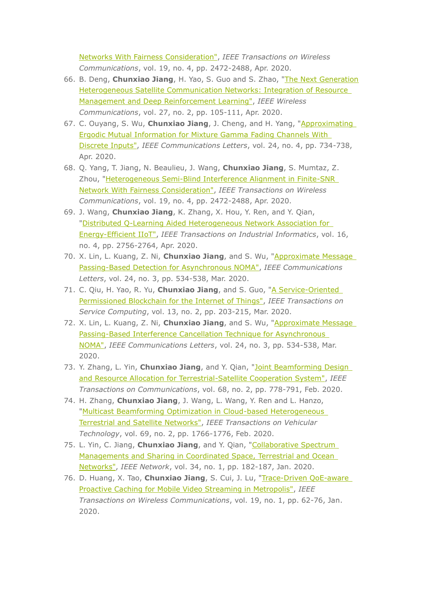Networks With Fairness Consideration", IEEE Transactions on Wireless Communications, vol. 19, no. 4, pp. 2472-2488, Apr. 2020.

- 66. B. Deng, Chunxiao Jiang, H. Yao, S. Guo and S. Zhao, "The Next Generation Heterogeneous Satellite Communication Networks: Integration of Resource Management and Deep Reinforcement Learning", IEEE Wireless Communications, vol. 27, no. 2, pp. 105-111, Apr. 2020.
- 67. C. Ouyang, S. Wu, Chunxiao Jiang, J. Cheng, and H. Yang, "Approximating **Ergodic Mutual Information for Mixture Gamma Fading Channels With** Discrete Inputs", IEEE Communications Letters, vol. 24, no. 4, pp. 734-738, Apr. 2020.
- 68. O. Yang, T. Jiang, N. Beaulieu, J. Wang, Chunxiao Jiang, S. Mumtaz, Z. Zhou, "Heterogeneous Semi-Blind Interference Alignment in Finite-SNR Network With Fairness Consideration", IEEE Transactions on Wireless Communications, vol. 19, no. 4, pp. 2472-2488, Apr. 2020.
- 69. J. Wang, Chunxiao Jiang, K. Zhang, X. Hou, Y. Ren, and Y. Qian, "Distributed O-Learning Aided Heterogeneous Network Association for Energy-Efficient IIoT", IEEE Transactions on Industrial Informatics, vol. 16, no. 4, pp. 2756-2764, Apr. 2020.
- 70. X. Lin, L. Kuang, Z. Ni, Chunxiao Jiang, and S. Wu, "Approximate Message Passing-Based Detection for Asynchronous NOMA", IEEE Communications Letters, vol. 24, no. 3, pp. 534-538, Mar. 2020.
- 71. C. Qiu, H. Yao, R. Yu, Chunxiao Jiang, and S. Guo, "A Service-Oriented Permissioned Blockchain for the Internet of Things", IEEE Transactions on Service Computing, vol. 13, no. 2, pp. 203-215, Mar. 2020.
- 72. X. Lin, L. Kuang, Z. Ni, Chunxiao Jiang, and S. Wu, "Approximate Message Passing-Based Interference Cancellation Technique for Asynchronous NOMA", IEEE Communications Letters, vol. 24, no. 3, pp. 534-538, Mar. 2020.
- 73. Y. Zhang, L. Yin, Chunxiao Jiang, and Y. Qian, "Joint Beamforming Design and Resource Allocation for Terrestrial-Satellite Cooperation System", IEEE Transactions on Communications, vol. 68, no. 2, pp. 778-791, Feb. 2020.
- 74. H. Zhang, Chunxiao Jiang, J. Wang, L. Wang, Y. Ren and L. Hanzo, "Multicast Beamforming Optimization in Cloud-based Heterogeneous Terrestrial and Satellite Networks", IEEE Transactions on Vehicular Technology, vol. 69, no. 2, pp. 1766-1776, Feb. 2020.
- 75. L. Yin, C. Jiang, Chunxiao Jiang, and Y. Qian, "Collaborative Spectrum Managements and Sharing in Coordinated Space, Terrestrial and Ocean Networks", IEEE Network, vol. 34, no. 1, pp. 182-187, Jan. 2020.
- 76. D. Huang, X. Tao, Chunxiao Jiang, S. Cui, J. Lu, "Trace-Driven QoE-aware Proactive Caching for Mobile Video Streaming in Metropolis", IEEE Transactions on Wireless Communications, vol. 19, no. 1, pp. 62-76, Jan. 2020.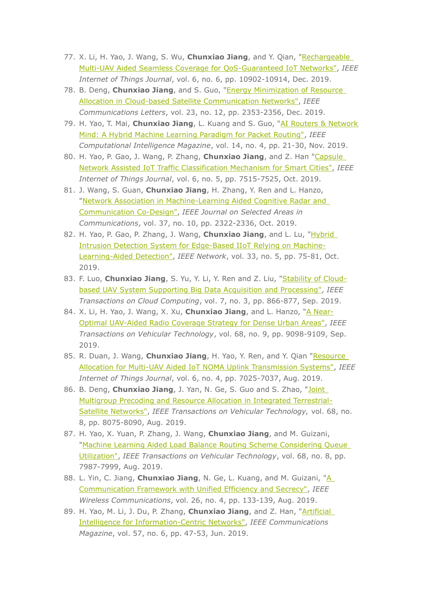- 77. X. Li, H. Yao, J. Wang, S. Wu, Chunxiao Jiang, and Y. Qian, "Rechargeable Multi-UAV Aided Seamless Coverage for QoS-Guaranteed IoT Networks", IEEE Internet of Things Journal, vol. 6, no. 6, pp. 10902-10914, Dec. 2019.
- 78. B. Deng, Chunxiao Jiang, and S. Guo, "Energy Minimization of Resource Allocation in Cloud-based Satellite Communication Networks", IEEE Communications Letters, vol. 23, no. 12, pp. 2353-2356, Dec. 2019.
- 79. H. Yao, T. Mai, Chunxiao Jiang, L. Kuang and S. Guo, "AI Routers & Network Mind: A Hybrid Machine Learning Paradigm for Packet Routing", IEEE Computational Intelligence Magazine, vol. 14, no. 4, pp. 21-30, Nov. 2019.
- 80. H. Yao, P. Gao, J. Wang, P. Zhang, Chunxiao Jiang, and Z. Han "Capsule Network Assisted IoT Traffic Classification Mechanism for Smart Cities", IEEE Internet of Things Journal, vol. 6, no. 5, pp. 7515-7525, Oct. 2019.
- 81. J. Wang, S. Guan, Chunxiao Jiang, H. Zhang, Y. Ren and L. Hanzo, "Network Association in Machine-Learning Aided Cognitive Radar and Communication Co-Design", IEEE Journal on Selected Areas in Communications, vol. 37, no. 10, pp. 2322-2336, Oct. 2019.
- 82. H. Yao, P. Gao, P. Zhang, J. Wang, Chunxiao Jiang, and L. Lu, "Hybrid Intrusion Detection System for Edge-Based IIoT Relying on Machine-Learning-Aided Detection", IEEE Network, vol. 33, no. 5, pp. 75-81, Oct. 2019.
- 83. F. Luo, Chunxiao Jiang, S. Yu, Y. Li, Y. Ren and Z. Liu, "Stability of Cloudbased UAV System Supporting Big Data Acquisition and Processing", IEEE Transactions on Cloud Computing, vol. 7, no. 3, pp. 866-877, Sep. 2019.
- 84. X. Li, H. Yao, J. Wang, X. Xu, Chunxiao Jiang, and L. Hanzo, "A Near-Optimal UAV-Aided Radio Coverage Strategy for Dense Urban Areas", IEEE Transactions on Vehicular Technology, vol. 68, no. 9, pp. 9098-9109, Sep. 2019.
- 85. R. Duan, J. Wang, Chunxiao Jiang, H. Yao, Y. Ren, and Y. Qian "Resource Allocation for Multi-UAV Aided IoT NOMA Uplink Transmission Systems", IEEE Internet of Things Journal, vol. 6, no. 4, pp. 7025-7037, Aug. 2019.
- 86. B. Deng, Chunxiao Jiang, J. Yan, N. Ge, S. Guo and S. Zhao, "Joint Multigroup Precoding and Resource Allocation in Integrated Terrestrial-Satellite Networks", IEEE Transactions on Vehicular Technology, vol. 68, no. 8, pp. 8075-8090, Aug. 2019.
- 87. H. Yao, X. Yuan, P. Zhang, J. Wang, Chunxiao Jiang, and M. Guizani, "Machine Learning Aided Load Balance Routing Scheme Considering Oueue Utilization", IEEE Transactions on Vehicular Technology, vol. 68, no. 8, pp. 7987-7999, Aug. 2019.
- 88. L. Yin, C. Jiang, Chunxiao Jiang, N. Ge, L. Kuang, and M. Guizani, "A Communication Framework with Unified Efficiency and Secrecy", IEEE Wireless Communications, vol. 26, no. 4, pp. 133-139, Aug. 2019.
- 89. H. Yao, M. Li, J. Du, P. Zhang, Chunxiao Jiang, and Z. Han, "Artificial Intelligence for Information-Centric Networks", IEEE Communications Magazine, vol. 57, no. 6, pp. 47-53, Jun. 2019.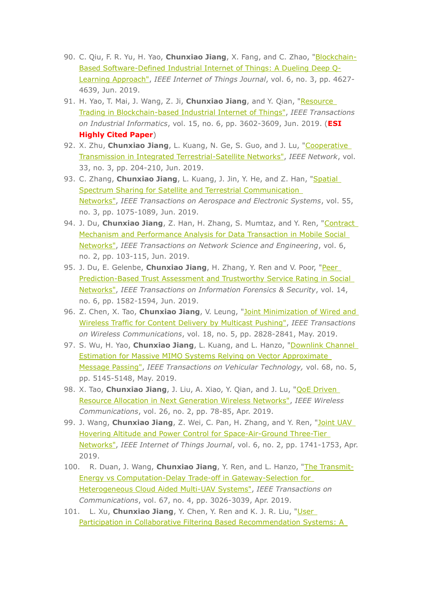- 90. C. Qiu, F. R. Yu, H. Yao, Chunxiao Jiang, X. Fang, and C. Zhao, "Blockchain-Based Software-Defined Industrial Internet of Things: A Dueling Deep Q-Learning Approach", IEEE Internet of Things Journal, vol. 6, no. 3, pp. 4627-4639, Jun. 2019.
- 91. H. Yao, T. Mai, J. Wang, Z. Ji, Chunxiao Jiang, and Y. Qian, "Resource Trading in Blockchain-based Industrial Internet of Things", IEEE Transactions on Industrial Informatics, vol. 15, no. 6, pp. 3602-3609, Jun. 2019. (ESI **Highly Cited Paper)**
- 92. X. Zhu, Chunxiao Jiang, L. Kuang, N. Ge, S. Guo, and J. Lu, "Cooperative Transmission in Integrated Terrestrial-Satellite Networks", IEEE Network, vol. 33, no. 3, pp. 204-210, Jun. 2019.
- 93. C. Zhang, Chunxiao Jiang, L. Kuang, J. Jin, Y. He, and Z. Han, "Spatial Spectrum Sharing for Satellite and Terrestrial Communication Networks", IEEE Transactions on Aerospace and Electronic Systems, vol. 55, no. 3, pp. 1075-1089, Jun. 2019.
- 94. J. Du, Chunxiao Jiang, Z. Han, H. Zhang, S. Mumtaz, and Y. Ren, "Contract Mechanism and Performance Analysis for Data Transaction in Mobile Social Networks", IEEE Transactions on Network Science and Engineering, vol. 6, no. 2, pp. 103-115, Jun. 2019.
- 95. J. Du, E. Gelenbe, Chunxiao Jiang, H. Zhang, Y. Ren and V. Poor, "Peer Prediction-Based Trust Assessment and Trustworthy Service Rating in Social Networks", IEEE Transactions on Information Forensics & Security, vol. 14, no. 6, pp. 1582-1594, Jun. 2019.
- 96. Z. Chen, X. Tao, Chunxiao Jiang, V. Leung, "Joint Minimization of Wired and Wireless Traffic for Content Delivery by Multicast Pushing", IEEE Transactions on Wireless Communications, vol. 18, no. 5, pp. 2828-2841, May. 2019.
- 97. S. Wu, H. Yao, Chunxiao Jiang, L. Kuang, and L. Hanzo, "Downlink Channel Estimation for Massive MIMO Systems Relying on Vector Approximate Message Passing", IEEE Transactions on Vehicular Technology, vol. 68, no. 5, pp. 5145-5148, May. 2019.
- 98. X. Tao, Chunxiao Jiang, J. Liu, A. Xiao, Y. Qian, and J. Lu, "OOE Driven Resource Allocation in Next Generation Wireless Networks", IEEE Wireless Communications, vol. 26, no. 2, pp. 78-85, Apr. 2019.
- 99. J. Wang, Chunxiao Jiang, Z. Wei, C. Pan, H. Zhang, and Y. Ren, "Joint UAV Hovering Altitude and Power Control for Space-Air-Ground Three-Tier Networks", IEEE Internet of Things Journal, vol. 6, no. 2, pp. 1741-1753, Apr. 2019.
- 100. R. Duan, J. Wang, Chunxiao Jiang, Y. Ren, and L. Hanzo, "The Transmit-Energy vs Computation-Delay Trade-off in Gateway-Selection for Heterogeneous Cloud Aided Multi-UAV Systems", IEEE Transactions on Communications, vol. 67, no. 4, pp. 3026-3039, Apr. 2019.
- 101. L. Xu, Chunxiao Jiang, Y. Chen, Y. Ren and K. J. R. Liu, "User Participation in Collaborative Filtering Based Recommendation Systems: A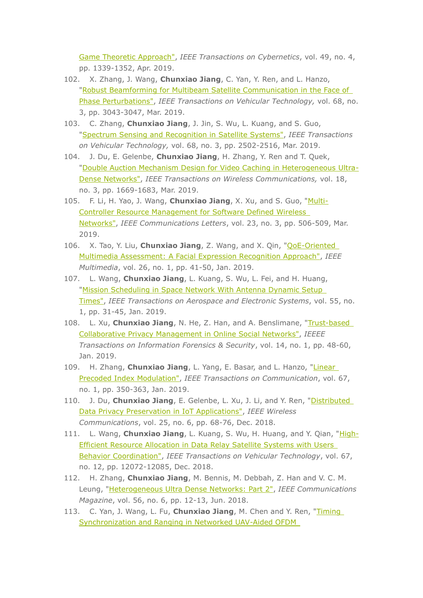Game Theoretic Approach", IEEE Transactions on Cybernetics, vol. 49, no. 4, pp. 1339-1352, Apr. 2019.

- 102. X. Zhang, J. Wang, Chunxiao Jiang, C. Yan, Y. Ren, and L. Hanzo, "Robust Beamforming for Multibeam Satellite Communication in the Face of Phase Perturbations", IEEE Transactions on Vehicular Technology, vol. 68, no. 3, pp. 3043-3047, Mar. 2019.
- 103. C. Zhang, Chunxiao Jiang, J. Jin, S. Wu, L. Kuang, and S. Guo, "Spectrum Sensing and Recognition in Satellite Systems", IEEE Transactions on Vehicular Technology, vol. 68, no. 3, pp. 2502-2516, Mar. 2019.
- 104. J. Du, E. Gelenbe, Chunxiao Jiang, H. Zhang, Y. Ren and T. Quek, "Double Auction Mechanism Design for Video Caching in Heterogeneous Ultra-Dense Networks", IEEE Transactions on Wireless Communications, vol. 18, no. 3, pp. 1669-1683, Mar. 2019.
- 105. F. Li, H. Yao, J. Wang, Chunxiao Jiang, X. Xu, and S. Guo, "Multi-**Controller Resource Management for Software Defined Wireless** Networks", IEEE Communications Letters, vol. 23, no. 3, pp. 506-509, Mar. 2019.
- 106. X. Tao, Y. Liu, Chunxiao Jiang, Z. Wang, and X. Qin, "QoE-Oriented Multimedia Assessment: A Facial Expression Recognition Approach", IEEE Multimedia, vol. 26, no. 1, pp. 41-50, Jan. 2019.
- 107. L. Wang, Chunxiao Jiang, L. Kuang, S. Wu, L. Fei, and H. Huang, "Mission Scheduling in Space Network With Antenna Dynamic Setup Times", IEEE Transactions on Aerospace and Electronic Systems, vol. 55, no. 1, pp. 31-45, Jan. 2019.
- 108. L. Xu, Chunxiao Jiang, N. He, Z. Han, and A. Benslimane, "Trust-based Collaborative Privacy Management in Online Social Networks", IEEEE Transactions on Information Forensics & Security, vol. 14, no. 1, pp. 48-60, Jan. 2019.
- 109. H. Zhang, Chunxiao Jiang, L. Yang, E. Basar, and L. Hanzo, "Linear Precoded Index Modulation", IEEE Transactions on Communication, vol. 67, no. 1, pp. 350-363, Jan. 2019.
- 110. J. Du, Chunxiao Jiang, E. Gelenbe, L. Xu, J. Li, and Y. Ren, "Distributed Data Privacy Preservation in IoT Applications", IEEE Wireless Communications, vol. 25, no. 6, pp. 68-76, Dec. 2018.
- 111. L. Wang, Chunxiao Jiang, L. Kuang, S. Wu, H. Huang, and Y. Qian, "High-Efficient Resource Allocation in Data Relay Satellite Systems with Users Behavior Coordination", IEEE Transactions on Vehicular Technology, vol. 67, no. 12, pp. 12072-12085, Dec. 2018.
- 112. H. Zhang, Chunxiao Jiang, M. Bennis, M. Debbah, Z. Han and V. C. M. Leung, "Heterogeneous Ultra Dense Networks: Part 2", IEEE Communications Magazine, vol. 56, no. 6, pp. 12-13, Jun. 2018.
- 113. C. Yan, J. Wang, L. Fu, Chunxiao Jiang, M. Chen and Y. Ren, "Timing Synchronization and Ranging in Networked UAV-Aided OFDM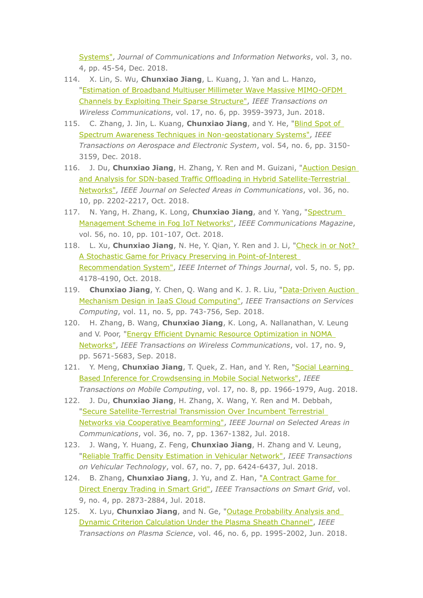Systems", Journal of Communications and Information Networks, vol. 3, no. 4, pp. 45-54, Dec. 2018.

- 114. X. Lin, S. Wu, Chunxiao Jiang, L. Kuang, J. Yan and L. Hanzo, "Estimation of Broadband Multiuser Millimeter Wave Massive MIMO-OFDM Channels by Exploiting Their Sparse Structure", IEEE Transactions on Wireless Communications, vol. 17, no. 6, pp. 3959-3973, Jun. 2018.
- 115. C. Zhang, J. Jin, L. Kuang, Chunxiao Jiang, and Y. He, "Blind Spot of Spectrum Awareness Techniques in Non-geostationary Systems", IEEE Transactions on Aerospace and Electronic System, vol. 54, no. 6, pp. 3150-3159, Dec. 2018.
- 116. J. Du, Chunxiao Jiang, H. Zhang, Y. Ren and M. Guizani, "Auction Design and Analysis for SDN-based Traffic Offloading in Hybrid Satellite-Terrestrial Networks", IEEE Journal on Selected Areas in Communications, vol. 36, no. 10, pp. 2202-2217, Oct. 2018.
- 117. N. Yang, H. Zhang, K. Long, Chunxiao Jiang, and Y. Yang, "Spectrum Management Scheme in Fog IoT Networks", IEEE Communications Magazine, vol. 56, no. 10, pp. 101-107, Oct. 2018.
- 118. L. Xu, Chunxiao Jiang, N. He, Y. Qian, Y. Ren and J. Li, "Check in or Not? A Stochastic Game for Privacy Preserving in Point-of-Interest Recommendation System", IEEE Internet of Things Journal, vol. 5, no. 5, pp. 4178-4190, Oct. 2018.
- 119. Chunxiao Jiang, Y. Chen, Q. Wang and K. J. R. Liu, "Data-Driven Auction Mechanism Design in IaaS Cloud Computing", IEEE Transactions on Services Computing, vol. 11, no. 5, pp. 743-756, Sep. 2018.
- 120. H. Zhang, B. Wang, Chunxiao Jiang, K. Long, A. Nallanathan, V. Leung and V. Poor, "Energy Efficient Dynamic Resource Optimization in NOMA Networks", IEEE Transactions on Wireless Communications, vol. 17, no. 9, pp. 5671-5683, Sep. 2018.
- 121. Y. Meng, Chunxiao Jiang, T. Quek, Z. Han, and Y. Ren, "Social Learning Based Inference for Crowdsensing in Mobile Social Networks", IEEE Transactions on Mobile Computing, vol. 17, no. 8, pp. 1966-1979, Aug. 2018.
- 122. J. Du, Chunxiao Jiang, H. Zhang, X. Wang, Y. Ren and M. Debbah, "Secure Satellite-Terrestrial Transmission Over Incumbent Terrestrial Networks via Cooperative Beamforming", IEEE Journal on Selected Areas in Communications, vol. 36, no. 7, pp. 1367-1382, Jul. 2018.
- 123. J. Wang, Y. Huang, Z. Feng, Chunxiao Jiang, H. Zhang and V. Leung, "Reliable Traffic Density Estimation in Vehicular Network", IEEE Transactions on Vehicular Technology, vol. 67, no. 7, pp. 6424-6437, Jul. 2018.
- 124. B. Zhang, Chunxiao Jiang, J. Yu, and Z. Han, "A Contract Game for Direct Energy Trading in Smart Grid", IEEE Transactions on Smart Grid, vol. 9, no. 4, pp. 2873-2884, Jul. 2018.
- 125. X. Lyu, Chunxiao Jiang, and N. Ge, "Outage Probability Analysis and Dynamic Criterion Calculation Under the Plasma Sheath Channel", IEEE Transactions on Plasma Science, vol. 46, no. 6, pp. 1995-2002, Jun. 2018.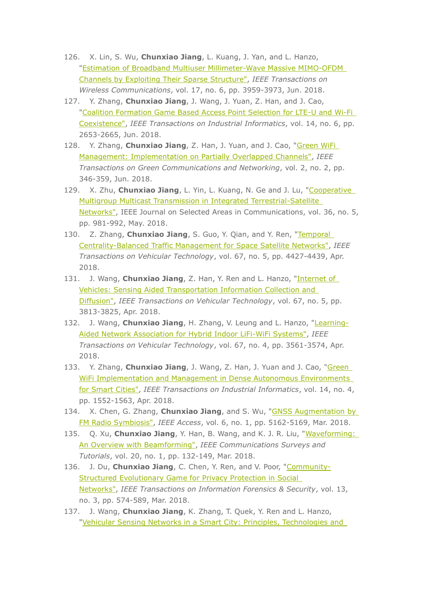- 126. X. Lin, S. Wu, Chunxiao Jiang, L. Kuang, J. Yan, and L. Hanzo, "Estimation of Broadband Multiuser Millimeter-Wave Massive MIMO-OFDM Channels by Exploiting Their Sparse Structure", IEEE Transactions on Wireless Communications, vol. 17, no. 6, pp. 3959-3973, Jun. 2018.
- 127. Y. Zhang, Chunxiao Jiang, J. Wang, J. Yuan, Z. Han, and J. Cao, "Coalition Formation Game Based Access Point Selection for LTE-U and Wi-Fi Coexistence", IEEE Transactions on Industrial Informatics, vol. 14, no. 6, pp. 2653-2665, Jun. 2018.
- 128. Y. Zhang, Chunxiao Jiang, Z. Han, J. Yuan, and J. Cao, "Green WiFi Management: Implementation on Partially Overlapped Channels", IEEE Transactions on Green Communications and Networking, vol. 2, no. 2, pp. 346-359, Jun. 2018.
- 129. X. Zhu, Chunxiao Jiang, L. Yin, L. Kuang, N. Ge and J. Lu, "Cooperative Multigroup Multicast Transmission in Integrated Terrestrial-Satellite Networks", IEEE Journal on Selected Areas in Communications, vol. 36, no. 5, pp. 981-992, May. 2018.
- 130. Z. Zhang, Chunxiao Jiang, S. Guo, Y. Qian, and Y. Ren, "Temporal Centrality-Balanced Traffic Management for Space Satellite Networks", IEEE Transactions on Vehicular Technology, vol. 67, no. 5, pp. 4427-4439, Apr. 2018.
- 131. J. Wang, Chunxiao Jiang, Z. Han, Y. Ren and L. Hanzo, "Internet of Vehicles: Sensing Aided Transportation Information Collection and Diffusion", IEEE Transactions on Vehicular Technology, vol. 67, no. 5, pp. 3813-3825, Apr. 2018.
- 132. J. Wang, Chunxiao Jiang, H. Zhang, V. Leung and L. Hanzo, "Learning-Aided Network Association for Hybrid Indoor LiFi-WiFi Systems", IEEE Transactions on Vehicular Technology, vol. 67, no. 4, pp. 3561-3574, Apr. 2018.
- 133. Y. Zhang, Chunxiao Jiang, J. Wang, Z. Han, J. Yuan and J. Cao, "Green WiFi Implementation and Management in Dense Autonomous Environments for Smart Cities", IEEE Transactions on Industrial Informatics, vol. 14, no. 4, pp. 1552-1563, Apr. 2018.
- 134. X. Chen, G. Zhang, Chunxiao Jiang, and S. Wu, "GNSS Augmentation by FM Radio Symbiosis", IEEE Access, vol. 6, no. 1, pp. 5162-5169, Mar. 2018.
- 135. Q. Xu, Chunxiao Jiang, Y. Han, B. Wang, and K. J. R. Liu, "Waveforming: An Overview with Beamforming", IEEE Communications Surveys and Tutorials, vol. 20, no. 1, pp. 132-149, Mar. 2018.
- 136. J. Du, Chunxiao Jiang, C. Chen, Y. Ren, and V. Poor, "Community-Structured Evolutionary Game for Privacy Protection in Social Networks", IEEE Transactions on Information Forensics & Security, vol. 13, no. 3, pp. 574-589, Mar. 2018.
- 137. J. Wang, Chunxiao Jiang, K. Zhang, T. Quek, Y. Ren and L. Hanzo, "Vehicular Sensing Networks in a Smart City: Principles, Technologies and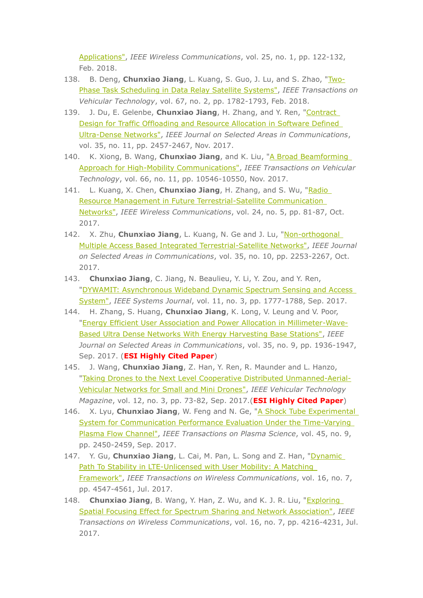Applications", IEEE Wireless Communications, vol. 25, no. 1, pp. 122-132, Feb. 2018.

- 138. B. Deng, Chunxiao Jiang, L. Kuang, S. Guo, J. Lu, and S. Zhao, "Two-Phase Task Scheduling in Data Relay Satellite Systems", IEEE Transactions on Vehicular Technology, vol. 67, no. 2, pp. 1782-1793, Feb. 2018.
- 139. J. Du, E. Gelenbe, Chunxiao Jiang, H. Zhang, and Y. Ren, "Contract Design for Traffic Offloading and Resource Allocation in Software Defined Ultra-Dense Networks", IEEE Journal on Selected Areas in Communications, vol. 35, no. 11, pp. 2457-2467, Nov. 2017.
- 140. K. Xiong, B. Wang, Chunxiao Jiang, and K. Liu, "A Broad Beamforming Approach for High-Mobility Communications", IEEE Transactions on Vehicular Technology, vol. 66, no. 11, pp. 10546-10550, Nov. 2017.
- 141. L. Kuang, X. Chen, Chunxiao Jiang, H. Zhang, and S. Wu, "Radio Resource Management in Future Terrestrial-Satellite Communication Networks", IEEE Wireless Communications, vol. 24, no. 5, pp. 81-87, Oct. 2017.
- 142. X. Zhu, Chunxiao Jiang, L. Kuang, N. Ge and J. Lu, "Non-orthogonal Multiple Access Based Integrated Terrestrial-Satellite Networks", IEEE Journal on Selected Areas in Communications, vol. 35, no. 10, pp. 2253-2267, Oct. 2017.
- 143. Chunxiao Jiang, C. Jiang, N. Beaulieu, Y. Li, Y. Zou, and Y. Ren, "DYWAMIT: Asynchronous Wideband Dynamic Spectrum Sensing and Access System", IEEE Systems Journal, vol. 11, no. 3, pp. 1777-1788, Sep. 2017.
- 144. H. Zhang, S. Huang, Chunxiao Jiang, K. Long, V. Leung and V. Poor, "Energy Efficient User Association and Power Allocation in Millimeter-Wave-Based Ultra Dense Networks With Energy Harvesting Base Stations", IEEE Journal on Selected Areas in Communications, vol. 35, no. 9, pp. 1936-1947, Sep. 2017. (ESI Highly Cited Paper)
- 145. J. Wang, Chunxiao Jiang, Z. Han, Y. Ren, R. Maunder and L. Hanzo, "Taking Drones to the Next Level Cooperative Distributed Unmanned-Aerial-Vehicular Networks for Small and Mini Drones", IEEE Vehicular Technology Magazine, vol. 12, no. 3, pp. 73-82, Sep. 2017.(**ESI Highly Cited Paper**)
- 146. X. Lyu, Chunxiao Jiang, W. Feng and N. Ge, "A Shock Tube Experimental System for Communication Performance Evaluation Under the Time-Varying Plasma Flow Channel", IEEE Transactions on Plasma Science, vol. 45, no. 9, pp. 2450-2459, Sep. 2017.
- 147. Y. Gu, Chunxiao Jiang, L. Cai, M. Pan, L. Song and Z. Han, "Dynamic Path To Stability in LTE-Unlicensed with User Mobility: A Matching Framework", IEEE Transactions on Wireless Communications, vol. 16, no. 7, pp. 4547-4561, Jul. 2017.
- 148. Chunxiao Jiang, B. Wang, Y. Han, Z. Wu, and K. J. R. Liu, "Exploring Spatial Focusing Effect for Spectrum Sharing and Network Association", IEEE Transactions on Wireless Communications, vol. 16, no. 7, pp. 4216-4231, Jul. 2017.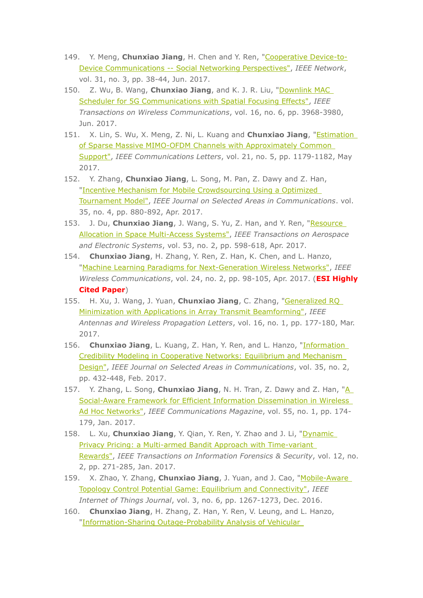- 149. Y. Meng, Chunxiao Jiang, H. Chen and Y. Ren, "Cooperative Device-to-Device Communications -- Social Networking Perspectives", IEEE Network, vol. 31, no. 3, pp. 38-44, Jun. 2017.
- 150. Z. Wu, B. Wang, Chunxiao Jiang, and K. J. R. Liu, "Downlink MAC Scheduler for 5G Communications with Spatial Focusing Effects", IEEE Transactions on Wireless Communications, vol. 16, no. 6, pp. 3968-3980, Jun. 2017.
- 151. X. Lin, S. Wu, X. Meng, Z. Ni, L. Kuang and Chunxiao Jiang, "*Estimation* of Sparse Massive MIMO-OFDM Channels with Approximately Common Support", IEEE Communications Letters, vol. 21, no. 5, pp. 1179-1182, May 2017.
- 152. Y. Zhang, Chunxiao Jiang, L. Song, M. Pan, Z. Dawy and Z. Han, "Incentive Mechanism for Mobile Crowdsourcing Using a Optimized Tournament Model", IEEE Journal on Selected Areas in Communications, vol. 35, no. 4, pp. 880-892, Apr. 2017.
- 153. J. Du, Chunxiao Jiang, J. Wang, S. Yu, Z. Han, and Y. Ren, "Resource Allocation in Space Multi-Access Systems", IEEE Transactions on Aerospace and Electronic Systems, vol. 53, no. 2, pp. 598-618, Apr. 2017.
- 154. Chunxiao Jiang, H. Zhang, Y. Ren, Z. Han, K. Chen, and L. Hanzo, "Machine Learning Paradigms for Next-Generation Wireless Networks", IEEE Wireless Communications, vol. 24, no. 2, pp. 98-105, Apr. 2017. (ESI Highly **Cited Paper)**
- 155. H. Xu, J. Wang, J. Yuan, Chunxiao Jiang, C. Zhang, "Generalized RO Minimization with Applications in Array Transmit Beamforming", IEEE Antennas and Wireless Propagation Letters, vol. 16, no. 1, pp. 177-180, Mar. 2017.
- 156. Chunxiao Jiang, L. Kuang, Z. Han, Y. Ren, and L. Hanzo, "Information Credibility Modeling in Cooperative Networks: Equilibrium and Mechanism Design", IEEE Journal on Selected Areas in Communications, vol. 35, no. 2, pp. 432-448, Feb. 2017.
- 157. Y. Zhang, L. Song, Chunxiao Jiang, N. H. Tran, Z. Dawy and Z. Han, "A Social-Aware Framework for Efficient Information Dissemination in Wireless Ad Hoc Networks", IEEE Communications Magazine, vol. 55, no. 1, pp. 174-179, Jan. 2017.
- 158. L. Xu, Chunxiao Jiang, Y. Qian, Y. Ren, Y. Zhao and J. Li, "Dynamic Privacy Pricing: a Multi-armed Bandit Approach with Time-variant Rewards", IEEE Transactions on Information Forensics & Security, vol. 12, no. 2, pp. 271-285, Jan. 2017.
- 159. X. Zhao, Y. Zhang, Chunxiao Jiang, J. Yuan, and J. Cao, "Mobile-Aware Topology Control Potential Game: Equilibrium and Connectivity", IEEE Internet of Things Journal, vol. 3, no. 6, pp. 1267-1273, Dec. 2016.
- 160. Chunxiao Jiang, H. Zhang, Z. Han, Y. Ren, V. Leung, and L. Hanzo, "Information-Sharing Outage-Probability Analysis of Vehicular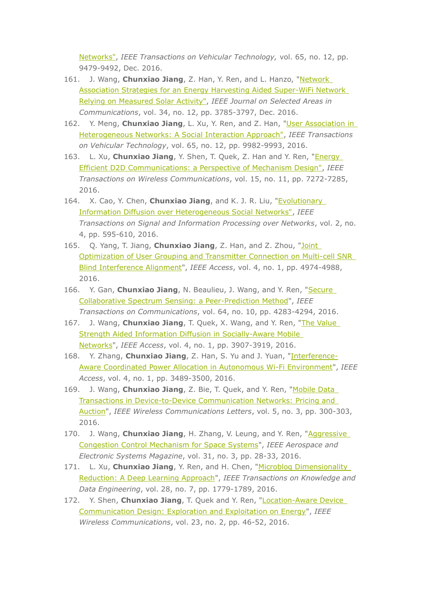Networks", IEEE Transactions on Vehicular Technology, vol. 65, no. 12, pp. 9479-9492, Dec. 2016.

- 161. J. Wang, **Chunxiao Jiang**, Z. Han, Y. Ren, and L. Hanzo, "Network Association Strategies for an Energy Harvesting Aided Super-WiFi Network Relying on Measured Solar Activity", IEEE Journal on Selected Areas in *Communications, vol. 34, no. 12, pp. 3785-3797, Dec. 2016.*
- 162. Y. Meng, **Chunxiao Jiang**, L. Xu, Y. Ren, and Z. Han, "User Association in Heterogeneous Networks: A Social Interaction Approach", IEEE Transactions on Vehicular Technology, vol. 65, no. 12, pp. 9982-9993, 2016.
- 163. L. Xu, **Chunxiao Jiang**, Y. Shen, T. Quek, Z. Han and Y. Ren, "**Energy** Efficient D2D Communications: a Perspective of Mechanism Design", IEEE *Transactions on Wireless Communications, vol.* 15, no. 11, pp. 7272-7285, 2016.
- 164. X. Cao, Y. Chen, **Chunxiao Jiang**, and K. J. R. Liu, "Evolutionary Information Diffusion over Heterogeneous Social Networks", IEEE *Transactions on Signal and Information Processing over Networks, vol. 2, no.* 4, pp. 595-610, 2016.
- 165. Q. Yang, T. Jiang, **Chunxiao Jiang**, Z. Han, and Z. Zhou, "Joint Optimization of User Grouping and Transmitter Connection on Multi-cell SNR Blind Interference Alignment", IEEE Access, vol. 4, no. 1, pp. 4974-4988, 2016.
- 166. Y. Gan, Chunxiao Jiang, N. Beaulieu, J. Wang, and Y. Ren, "Secure Collaborative Spectrum Sensing: a Peer-Prediction Method", IEEE *Transactions on Communications, vol. 64, no. 10, pp. 4283-4294, 2016.*
- 167. J. Wang, **Chunxiao Jiang**, T. Quek, X. Wang, and Y. Ren, "The Value Strength Aided Information Diffusion in Socially-Aware Mobile Networks", IEEE Access, vol. 4, no. 1, pp. 3907-3919, 2016.
- 168. Y. Zhang, **Chunxiao Jiang**, Z. Han, S. Yu and J. Yuan, "Interference-**Aware Coordinated Power Allocation in Autonomous Wi-Fi Environment", IEEE** Access, vol. 4, no. 1, pp. 3489-3500, 2016.
- 169. J. Wang, **Chunxiao Jiang**, Z. Bie, T. Quek, and Y. Ren, "Mobile Data Transactions in Device-to-Device Communication Networks: Pricing and Auction", IEEE Wireless Communications Letters, vol. 5, no. 3, pp. 300-303, 2016.
- 170. J. Wang, **Chunxiao Jiang**, H. Zhang, V. Leung, and Y. Ren, "Aggressive Congestion Control Mechanism for Space Systems", IEEE Aerospace and *Electronic Systems Magazine, vol.* 31, no. 3, pp. 28-33, 2016.
- 171. L. Xu, Chunxiao Jiang, Y. Ren, and H. Chen, "Microblog Dimensionality Reduction: A Deep Learning Approach", IEEE Transactions on Knowledge and Data Engineering, vol. 28, no. 7, pp. 1779-1789, 2016.
- 172. Y. Shen, **Chunxiao Jiang**, T. Quek and Y. Ren, "Location-Aware Device Communication Design: Exploration and Exploitation on Energy", IEEE *Wireless Communications, vol. 23, no. 2, pp. 46-52, 2016.*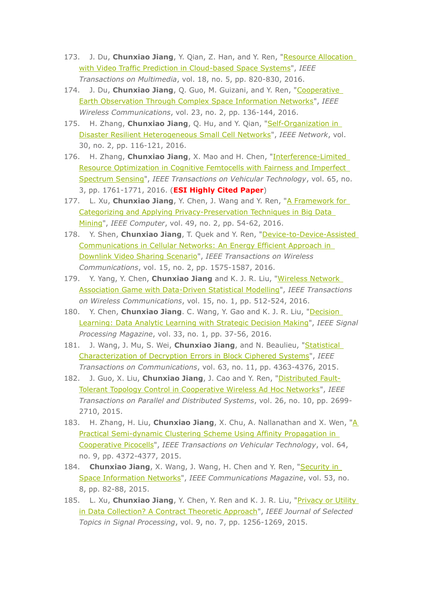- 173. J. Du, **Chunxiao Jiang**, Y. Qian, Z. Han, and Y. Ren, "Resource Allocation with Video Traffic Prediction in Cloud-based Space Systems", IEEE *Transactions on Multimedia, vol.* 18, no. 5, pp. 820-830, 2016.
- 174. J. Du, **Chunxiao Jiang**, Q. Guo, M. Guizani, and Y. Ren, "Cooperative Earth Observation Through Complex Space Information Networks", IEEE *Wireless Communications, vol. 23, no. 2, pp. 136-144, 2016.*
- 175. H. Zhang, **Chunxiao Jiang**, O. Hu, and Y. Qian, "Self-Organization in Disaster Resilient Heterogeneous Small Cell Networks", IEEE Network, vol. 30, no. 2, pp. 116-121, 2016.
- 176. H. Zhang, **Chunxiao Jiang**, X. Mao and H. Chen, "Interference-Limited Resource Optimization in Cognitive Femtocells with Fairness and Imperfect Spectrum Sensing", IEEE Transactions on Vehicular Technology, vol. 65, no. 3, pp. 1761-1771, 2016. (**ESI Highly Cited Paper**)
- 177. L. Xu, **Chunxiao Jiang**, Y. Chen, J. Wang and Y. Ren, "A Framework for Categorizing and Applying Privacy-Preservation Techniques in Big Data Mining", IEEE Computer, vol. 49, no. 2, pp. 54-62, 2016.
- 178. Y. Shen, Chunxiao Jiang, T. Quek and Y. Ren, "Device-to-Device-Assisted Communications in Cellular Networks: An Energy Efficient Approach in Downlink Video Sharing Scenario", IEEE Transactions on Wireless *Communications, vol. 15, no. 2, pp. 1575-1587, 2016.*
- 179. Y. Yang, Y. Chen, *Chunxiao Jiang* and K. J. R. Liu, "Wireless Network **Association Game with Data-Driven Statistical Modelling", IEEE Transactions** *on Wireless Communications, vol. 15, no. 1, pp. 512-524, 2016.*
- 180. Y. Chen, Chunxiao Jiang. C. Wang, Y. Gao and K. J. R. Liu, "Decision Learning: Data Analytic Learning with Strategic Decision Making", IEEE Signal *Processing Magazine, vol.* 33, no. 1, pp. 37-56, 2016.
- 181. J. Wang, J. Mu, S. Wei, Chunxiao Jiang, and N. Beaulieu, "Statistical Characterization of Decryption Errors in Block Ciphered Systems", IEEE *Transactions on Communications, vol.* 63, no. 11, pp. 4363-4376, 2015.
- 182. J. Guo, X. Liu, *Chunxiao Jiang*, J. Cao and Y. Ren, "*Distributed Fault-*Tolerant Topology Control in Cooperative Wireless Ad Hoc Networks", IEEE *Transactions on Parallel and Distributed Systems, vol. 26, no. 10, pp. 2699-*2710, 2015.
- 183. H. Zhang, H. Liu, **Chunxiao Jiang**, X. Chu, A. Nallanathan and X. Wen, "A Practical Semi-dynamic Clustering Scheme Using Affinity Propagation in Cooperative Picocells", IEEE Transactions on Vehicular Technology, vol. 64, no. 9, pp. 4372-4377, 2015.
- 184. **Chunxiao Jiang**, X. Wang, J. Wang, H. Chen and Y. Ren, "**Security in** Space Information Networks", IEEE Communications Magazine, vol. 53, no. 8, pp. 82-88, 2015.
- 185. L. Xu, **Chunxiao Jiang**, Y. Chen, Y. Ren and K. J. R. Liu, "Privacy or Utility in Data Collection? A Contract Theoretic Approach", IEEE Journal of Selected *Topics in Signal Processing, vol. 9, no. 7, pp. 1256-1269, 2015.*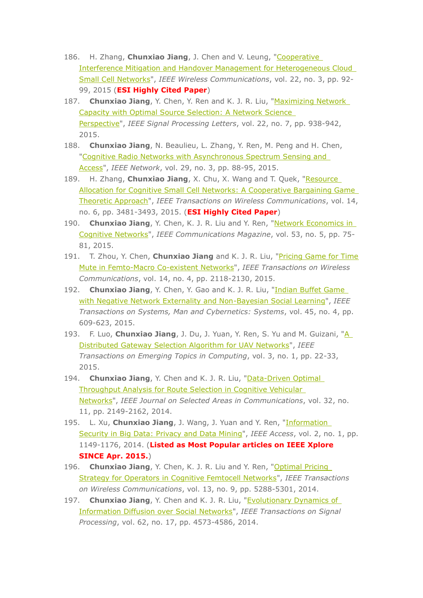- 186. H. Zhang, Chunxiao Jiang, J. Chen and V. Leung, "Cooperative Interference Mitigation and Handover Management for Heterogeneous Cloud Small Cell Networks", IEEE Wireless Communications, vol. 22, no. 3, pp. 92-99, 2015 (**ESI Highly Cited Paper**)
- 187. Chunxiao Jiang, Y. Chen, Y. Ren and K. J. R. Liu, "Maximizing Network **Capacity with Optimal Source Selection: A Network Science** Perspective", IEEE Signal Processing Letters, vol. 22, no. 7, pp. 938-942, 2015.
- 188. Chunxiao Jiang, N. Beaulieu, L. Zhang, Y. Ren, M. Peng and H. Chen, "Cognitive Radio Networks with Asynchronous Spectrum Sensing and Access", IEEE Network, vol. 29, no. 3, pp. 88-95, 2015.
- 189. H. Zhang, Chunxiao Jiang, X. Chu, X. Wang and T. Quek, "Resource Allocation for Cognitive Small Cell Networks: A Cooperative Bargaining Game Theoretic Approach", IEEE Transactions on Wireless Communications, vol. 14, no. 6, pp. 3481-3493, 2015. (ESI Highly Cited Paper)
- 190. Chunxiao Jiang, Y. Chen, K. J. R. Liu and Y. Ren, "Network Economics in Cognitive Networks", IEEE Communications Magazine, vol. 53, no. 5, pp. 75-81, 2015.
- 191. T. Zhou, Y. Chen, Chunxiao Jiang and K. J. R. Liu, "Pricing Game for Time Mute in Femto-Macro Co-existent Networks", IEEE Transactions on Wireless Communications, vol. 14, no. 4, pp. 2118-2130, 2015.
- 192. Chunxiao Jiang, Y. Chen, Y. Gao and K. J. R. Liu, "Indian Buffet Game with Negative Network Externality and Non-Bayesian Social Learning", IEEE Transactions on Systems, Man and Cybernetics: Systems, vol. 45, no. 4, pp. 609-623, 2015.
- 193. F. Luo, Chunxiao Jiang, J. Du, J. Yuan, Y. Ren, S. Yu and M. Guizani, "A Distributed Gateway Selection Algorithm for UAV Networks", IEEE Transactions on Emerging Topics in Computing, vol. 3, no. 1, pp. 22-33, 2015.
- 194. Chunxiao Jiang, Y. Chen and K. J. R. Liu, "Data-Driven Optimal Throughput Analysis for Route Selection in Cognitive Vehicular Networks", IEEE Journal on Selected Areas in Communications, vol. 32, no. 11, pp. 2149-2162, 2014.
- 195. L. Xu, Chunxiao Jiang, J. Wang, J. Yuan and Y. Ren, "Information Security in Big Data: Privacy and Data Mining", IEEE Access, vol. 2, no. 1, pp. 1149-1176, 2014. (Listed as Most Popular articles on IEEE Xplore **SINCE Apr. 2015.)**
- 196. Chunxiao Jiang, Y. Chen, K. J. R. Liu and Y. Ren, "Optimal Pricing Strategy for Operators in Cognitive Femtocell Networks", IEEE Transactions on Wireless Communications, vol. 13, no. 9, pp. 5288-5301, 2014.
- 197. Chunxiao Jiang, Y. Chen and K. J. R. Liu, "Evolutionary Dynamics of Information Diffusion over Social Networks", IEEE Transactions on Signal Processing, vol. 62, no. 17, pp. 4573-4586, 2014.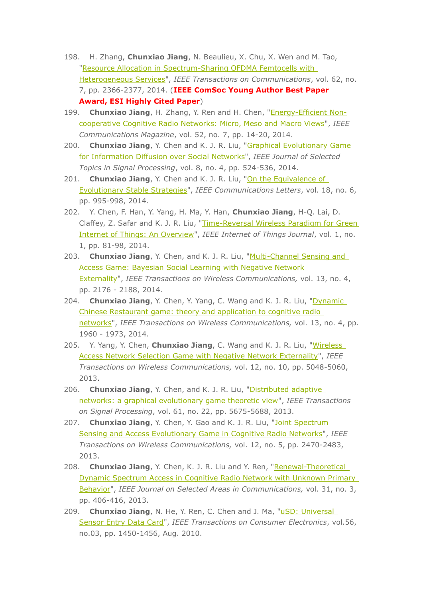- 198. H. Zhang, Chunxiao Jiang, N. Beaulieu, X. Chu, X. Wen and M. Tao, "Resource Allocation in Spectrum-Sharing OFDMA Femtocells with Heterogeneous Services", IEEE Transactions on Communications, vol. 62, no. 7, pp. 2366-2377, 2014. (IEEE ComSoc Young Author Best Paper Award, ESI Highly Cited Paper)
- 199. Chunxiao Jiang, H. Zhang, Y. Ren and H. Chen, "Energy-Efficient Noncooperative Cognitive Radio Networks: Micro, Meso and Macro Views", IEEE Communications Magazine, vol. 52, no. 7, pp. 14-20, 2014.
- 200. Chunxiao Jiang, Y. Chen and K. J. R. Liu, "Graphical Evolutionary Game for Information Diffusion over Social Networks", IEEE Journal of Selected Topics in Signal Processing, vol. 8, no. 4, pp. 524-536, 2014.
- 201. Chunxiao Jiang, Y. Chen and K. J. R. Liu, "On the Equivalence of Evolutionary Stable Strategies", IEEE Communications Letters, vol. 18, no. 6, pp. 995-998, 2014.
- 202. Y. Chen, F. Han, Y. Yang, H. Ma, Y. Han, Chunxiao Jiang, H-Q. Lai, D. Claffey, Z. Safar and K. J. R. Liu, "Time-Reversal Wireless Paradigm for Green Internet of Things: An Overview", IEEE Internet of Things Journal, vol. 1, no. 1, pp. 81-98, 2014.
- 203. Chunxiao Jiang, Y. Chen, and K. J. R. Liu, "Multi-Channel Sensing and Access Game: Bayesian Social Learning with Negative Network Externality", IEEE Transactions on Wireless Communications, vol. 13, no. 4, pp. 2176 - 2188, 2014.
- 204. Chunxiao Jiang, Y. Chen, Y. Yang, C. Wang and K. J. R. Liu, "Dynamic Chinese Restaurant game: theory and application to cognitive radio networks", IEEE Transactions on Wireless Communications, vol. 13, no. 4, pp. 1960 - 1973, 2014.
- 205. Y. Yang, Y. Chen, Chunxiao Jiang, C. Wang and K. J. R. Liu, "Wireless Access Network Selection Game with Negative Network Externality", IEEE Transactions on Wireless Communications, vol. 12, no. 10, pp. 5048-5060, 2013.
- 206. Chunxiao Jiang, Y. Chen, and K. J. R. Liu, "Distributed adaptive networks: a graphical evolutionary game theoretic view", IEEE Transactions on Signal Processing, vol. 61, no. 22, pp. 5675-5688, 2013.
- 207. Chunxiao Jiang, Y. Chen, Y. Gao and K. J. R. Liu, "Joint Spectrum Sensing and Access Evolutionary Game in Cognitive Radio Networks", IEEE Transactions on Wireless Communications, vol. 12, no. 5, pp. 2470-2483, 2013.
- 208. Chunxiao Jiang, Y. Chen, K. J. R. Liu and Y. Ren, "Renewal-Theoretical Dynamic Spectrum Access in Cognitive Radio Network with Unknown Primary Behavior", IEEE Journal on Selected Areas in Communications, vol. 31, no. 3, pp. 406-416, 2013.
- 209. Chunxiao Jiang, N. He, Y. Ren, C. Chen and J. Ma, "uSD: Universal Sensor Entry Data Card", IEEE Transactions on Consumer Electronics, vol.56, no.03, pp. 1450-1456, Aug. 2010.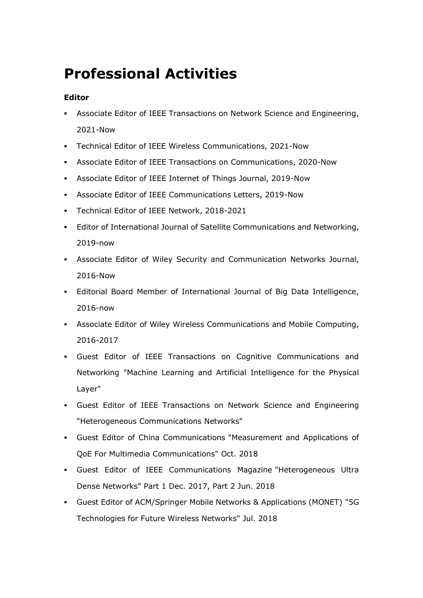# **Professional Activities**

### **Editor**

- Associate Editor of IEEE Transactions on Network Science and Engineering, 2021-Now
- Technical Editor of IEEE Wireless Communications, 2021-Now
- Associate Editor of IEEE Transactions on Communications, 2020-Now
- Associate Editor of IEEE Internet of Things Journal, 2019-Now
- Associate Editor of IEEE Communications Letters, 2019-Now
- Technical Editor of IEEE Network, 2018-2021
- Editor of International Journal of Satellite Communications and Networking, 2019-now
- Associate Editor of Wiley Security and Communication Networks Journal, 2016-Now
- Editorial Board Member of International Journal of Big Data Intelligence, 2016-now
- Associate Editor of Wiley Wireless Communications and Mobile Computing, 2016-2017
- Guest Editor of IEEE Transactions on Cognitive Communications and Networking "Machine Learning and Artificial Intelligence for the Physical Layer"
- Guest Editor of IEEE Transactions on Network Science and Engineering "Heterogeneous Communications Networks"
- Guest Editor of China Communications "Measurement and Applications of QoE For Multimedia Communications" Oct. 2018
- Guest Editor of IEEE Communications Magazine "Heterogeneous Ultra Dense Networks" Part 1 Dec. 2017, Part 2 Jun. 2018
- Guest Editor of ACM/Springer Mobile Networks & Applications (MONET) "5G Technologies for Future Wireless Networks" Jul. 2018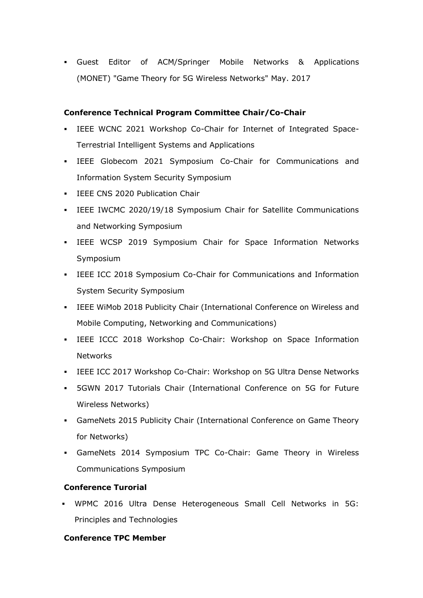Guest Editor of ACM/Springer Mobile Networks & Applications (MONET) "Game Theory for 5G Wireless Networks" May. 2017

### **Conference Technical Program Committee Chair/Co-Chair**

- IEEE WCNC 2021 Workshop Co-Chair for Internet of Integrated Space-Terrestrial Intelligent Systems and Applications
- IEEE Globecom 2021 Symposium Co-Chair for Communications and Information System Security Symposium
- **IEEE CNS 2020 Publication Chair**
- IEEE IWCMC 2020/19/18 Symposium Chair for Satellite Communications and Networking Symposium
- IEEE WCSP 2019 Symposium Chair for Space Information Networks Symposium
- IEEE ICC 2018 Symposium Co-Chair for Communications and Information System Security Symposium
- IEEE WiMob 2018 Publicity Chair (International Conference on Wireless and Mobile Computing, Networking and Communications)
- IEEE ICCC 2018 Workshop Co-Chair: Workshop on Space Information Networks
- IEEE ICC 2017 Workshop Co-Chair: Workshop on 5G Ultra Dense Networks
- 5GWN 2017 Tutorials Chair (International Conference on 5G for Future Wireless Networks)
- GameNets 2015 Publicity Chair (International Conference on Game Theory for Networks)
- GameNets 2014 Symposium TPC Co-Chair: Game Theory in Wireless Communications Symposium

### **Conference Turorial**

 WPMC 2016 Ultra Dense Heterogeneous Small Cell Networks in 5G: Principles and Technologies

#### **Conference TPC Member**